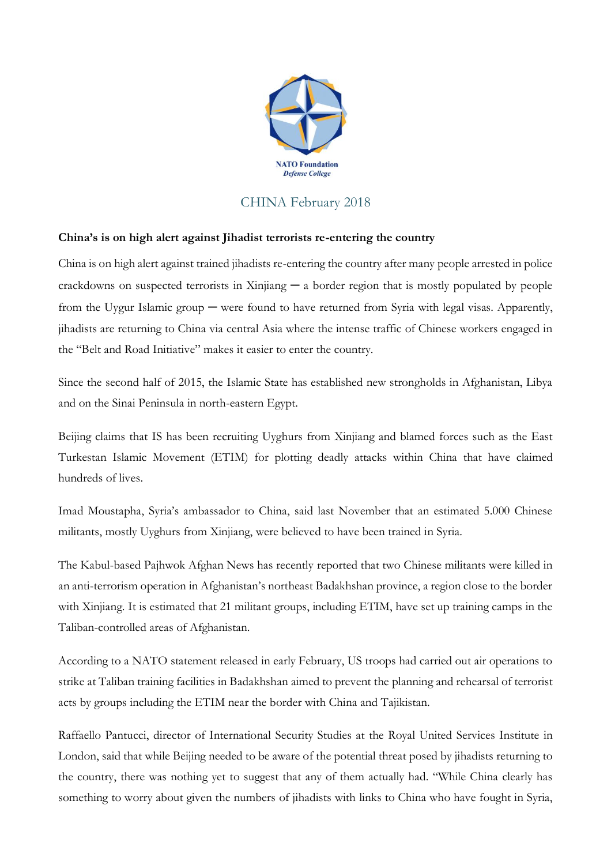

## CHINA February 2018

## **China's is on high alert against Jihadist terrorists re-entering the country**

China is on high alert against trained jihadists re-entering the country after many people arrested in police crackdowns on suspected terrorists in Xinjiang  $-$  a border region that is mostly populated by people from the Uygur Islamic group — were found to have returned from Syria with legal visas. Apparently, jihadists are returning to China via central Asia where the intense traffic of Chinese workers engaged in the "Belt and Road Initiative" makes it easier to enter the country.

Since the second half of 2015, the Islamic State has established new strongholds in Afghanistan, Libya and on the Sinai Peninsula in north-eastern Egypt.

Beijing claims that IS has been recruiting Uyghurs from Xinjiang and blamed forces such as the East Turkestan Islamic Movement (ETIM) for plotting deadly attacks within China that have claimed hundreds of lives.

Imad Moustapha, Syria's ambassador to China, said last November that an estimated 5.000 Chinese militants, mostly Uyghurs from Xinjiang, were believed to have been trained in Syria.

The Kabul-based Pajhwok Afghan News has recently reported that two Chinese militants were killed in an anti-terrorism operation in Afghanistan's northeast Badakhshan province, a region close to the border with Xinjiang. It is estimated that 21 militant groups, including ETIM, have set up training camps in the Taliban-controlled areas of Afghanistan.

According to a NATO statement released in early February, US troops had carried out air operations to strike at Taliban training facilities in Badakhshan aimed to prevent the planning and rehearsal of terrorist acts by groups including the ETIM near the border with China and Tajikistan.

Raffaello Pantucci, director of International Security Studies at the Royal United Services Institute in London, said that while Beijing needed to be aware of the potential threat posed by jihadists returning to the country, there was nothing yet to suggest that any of them actually had. "While China clearly has something to worry about given the numbers of jihadists with links to China who have fought in Syria,